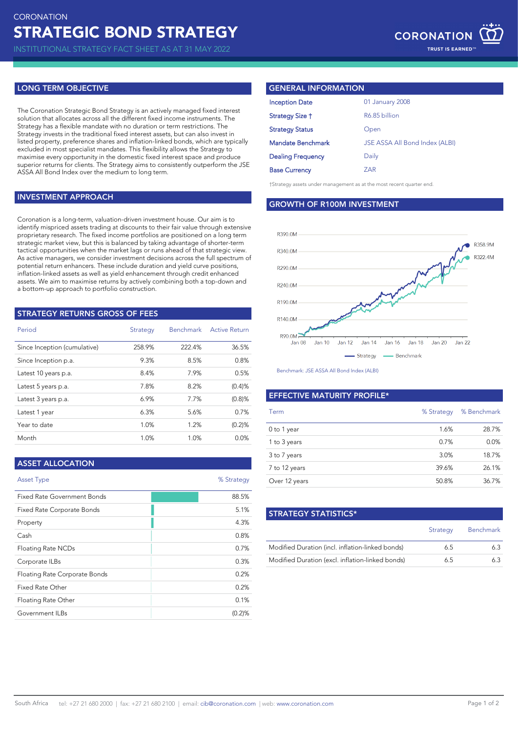INSTITUTIONAL STRATEGY FACT SHEET AS AT 31 MAY 2022

## **LONG TERM OBJECTIVE**

The Coronation Strategic Bond Strategy is an actively managed fixed interest solution that allocates across all the different fixed income instruments. The Strategy has a flexible mandate with no duration or term restrictions. The Strategy invests in the traditional fixed interest assets, but can also invest in listed property, preference shares and inflation-linked bonds, which are typically excluded in most specialist mandates. This flexibility allows the Strategy to maximise every opportunity in the domestic fixed interest space and produce superior returns for clients. The Strategy aims to consistently outperform the JSE ASSA All Bond Index over the medium to long term.

## **INVESTMENT APPROACH**

Coronation is a long-term, valuation-driven investment house. Our aim is to identify mispriced assets trading at discounts to their fair value through extensive proprietary research. The fixed income portfolios are positioned on a long term strategic market view, but this is balanced by taking advantage of shorter-term tactical opportunities when the market lags or runs ahead of that strategic view. As active managers, we consider investment decisions across the full spectrum of potential return enhancers. These include duration and yield curve positions, inflation-linked assets as well as yield enhancement through credit enhanced assets. We aim to maximise returns by actively combining both a top-down and a bottom-up approach to portfolio construction.

## **STRATEGY RETURNS GROSS OF FEES**

| Period                       | <b>Strategy</b> | Benchmark | <b>Active Return</b> |
|------------------------------|-----------------|-----------|----------------------|
| Since Inception (cumulative) | 258.9%          | 222.4%    | 36.5%                |
| Since Inception p.a.         | 9.3%            | 8.5%      | 0.8%                 |
| Latest 10 years p.a.         | 8.4%            | 7.9%      | 0.5%                 |
| Latest 5 years p.a.          | 7.8%            | 8.2%      | (0.4)%               |
| Latest 3 years p.a.          | 6.9%            | 7.7%      | $(0.8)$ %            |
| Latest 1 year                | 6.3%            | 5.6%      | 0.7%                 |
| Year to date                 | 1.0%            | 1.2%      | (0.2)%               |
| Month                        | 1.0%            | 1.0%      | 0.0%                 |

## **ASSET ALLOCATION**

| <b>Asset Type</b>             | % Strategy |
|-------------------------------|------------|
| Fixed Rate Government Bonds   | 88.5%      |
| Fixed Rate Corporate Bonds    | 5.1%       |
| Property                      | 4.3%       |
| Cash                          | 0.8%       |
| <b>Floating Rate NCDs</b>     | 0.7%       |
| Corporate ILBs                | 0.3%       |
| Floating Rate Corporate Bonds | 0.2%       |
| Fixed Rate Other              | 0.2%       |
| Floating Rate Other           | 0.1%       |
| Government ILBs               | (0.2)%     |

## **GENERAL INFORMATION**

| <b>Inception Date</b>    | 01 January 2008                |
|--------------------------|--------------------------------|
| Strategy Size †          | R6.85 billion                  |
| <b>Strategy Status</b>   | Open                           |
| Mandate Benchmark        | JSE ASSA All Bond Index (ALBI) |
| <b>Dealing Frequency</b> | Daily                          |
| <b>Base Currency</b>     | 7AR                            |
|                          |                                |

†Strategy assets under management as at the most recent quarter end.

**GROWTH OF R100M INVESTMENT**



Benchmark: JSE ASSA All Bond Index (ALBI)

## **EFFECTIVE MATURITY PROFILE\***

| Term          | % Strategy | % Benchmark |
|---------------|------------|-------------|
| 0 to 1 year   | 1.6%       | 28.7%       |
| 1 to 3 years  | 0.7%       | 0.0%        |
| 3 to 7 years  | 3.0%       | 18.7%       |
| 7 to 12 years | 39.6%      | 26.1%       |
| Over 12 years | 50.8%      | 36.7%       |

| <b>STRATEGY STATISTICS*</b>                      |          |                  |
|--------------------------------------------------|----------|------------------|
|                                                  | Strategy | <b>Benchmark</b> |
| Modified Duration (incl. inflation-linked bonds) | 6.5      | 63               |
| Modified Duration (excl. inflation-linked bonds) | 65       | 63               |